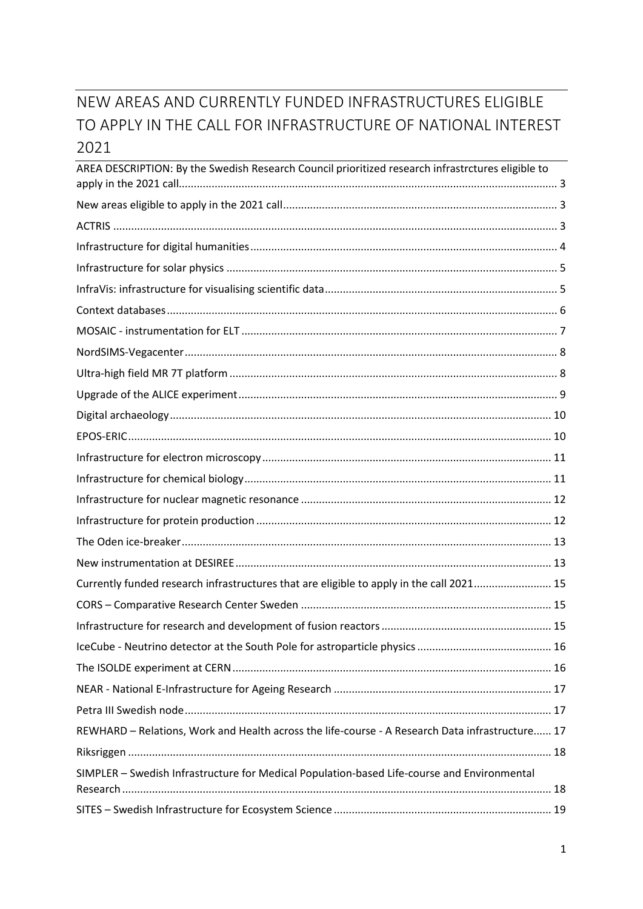# NEW AREAS AND CURRENTLY FUNDED INFRASTRUCTURES ELIGIBLE TO APPLY IN THE CALL FOR INFRASTRUCTURE OF NATIONAL INTEREST 2021

| AREA DESCRIPTION: By the Swedish Research Council prioritized research infrastrctures eligible to |  |
|---------------------------------------------------------------------------------------------------|--|
|                                                                                                   |  |
|                                                                                                   |  |
|                                                                                                   |  |
|                                                                                                   |  |
|                                                                                                   |  |
|                                                                                                   |  |
|                                                                                                   |  |
|                                                                                                   |  |
|                                                                                                   |  |
|                                                                                                   |  |
|                                                                                                   |  |
|                                                                                                   |  |
|                                                                                                   |  |
|                                                                                                   |  |
|                                                                                                   |  |
|                                                                                                   |  |
|                                                                                                   |  |
|                                                                                                   |  |
| Currently funded research infrastructures that are eligible to apply in the call 2021 15          |  |
|                                                                                                   |  |
|                                                                                                   |  |
|                                                                                                   |  |
|                                                                                                   |  |
|                                                                                                   |  |
|                                                                                                   |  |
| REWHARD - Relations, Work and Health across the life-course - A Research Data infrastructure 17   |  |
|                                                                                                   |  |
| SIMPLER - Swedish Infrastructure for Medical Population-based Life-course and Environmental       |  |
|                                                                                                   |  |
|                                                                                                   |  |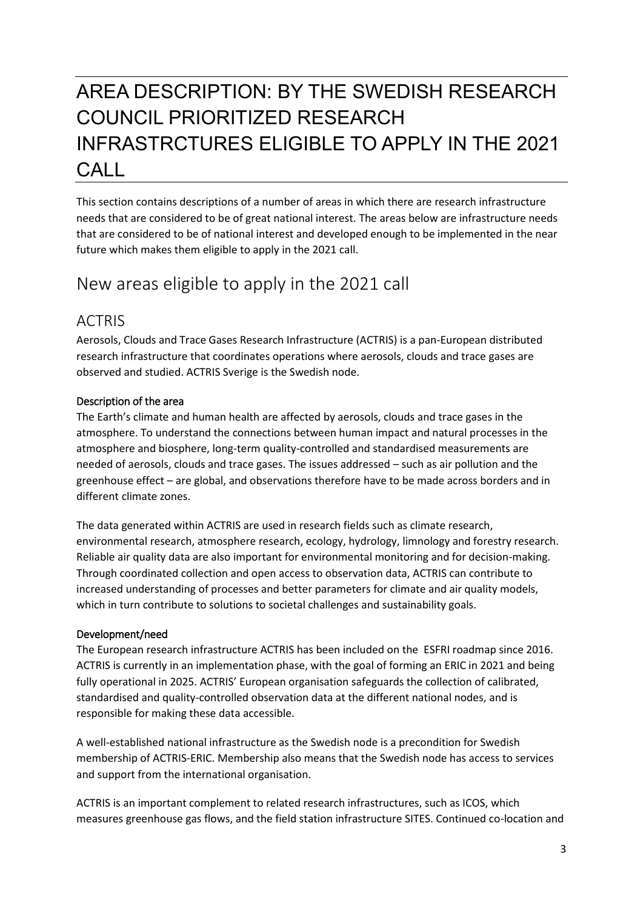# <span id="page-2-0"></span>AREA DESCRIPTION: BY THE SWEDISH RESEARCH COUNCIL PRIORITIZED RESEARCH INFRASTRCTURES ELIGIBLE TO APPLY IN THE 2021 CALL

This section contains descriptions of a number of areas in which there are research infrastructure needs that are considered to be of great national interest. The areas below are infrastructure needs that are considered to be of national interest and developed enough to be implemented in the near future which makes them eligible to apply in the 2021 call.

# <span id="page-2-1"></span>New areas eligible to apply in the 2021 call

## <span id="page-2-2"></span>ACTRIS

Aerosols, Clouds and Trace Gases Research Infrastructure (ACTRIS) is a pan-European distributed research infrastructure that coordinates operations where aerosols, clouds and trace gases are observed and studied. ACTRIS Sverige is the Swedish node.

### Description of the area

The Earth's climate and human health are affected by aerosols, clouds and trace gases in the atmosphere. To understand the connections between human impact and natural processes in the atmosphere and biosphere, long-term quality-controlled and standardised measurements are needed of aerosols, clouds and trace gases. The issues addressed – such as air pollution and the greenhouse effect – are global, and observations therefore have to be made across borders and in different climate zones.

The data generated within ACTRIS are used in research fields such as climate research, environmental research, atmosphere research, ecology, hydrology, limnology and forestry research. Reliable air quality data are also important for environmental monitoring and for decision-making. Through coordinated collection and open access to observation data, ACTRIS can contribute to increased understanding of processes and better parameters for climate and air quality models, which in turn contribute to solutions to societal challenges and sustainability goals.

### Development/need

The European research infrastructure ACTRIS has been included on the ESFRI roadmap since 2016. ACTRIS is currently in an implementation phase, with the goal of forming an ERIC in 2021 and being fully operational in 2025. ACTRIS' European organisation safeguards the collection of calibrated, standardised and quality-controlled observation data at the different national nodes, and is responsible for making these data accessible.

A well-established national infrastructure as the Swedish node is a precondition for Swedish membership of ACTRIS-ERIC. Membership also means that the Swedish node has access to services and support from the international organisation.

ACTRIS is an important complement to related research infrastructures, such as ICOS, which measures greenhouse gas flows, and the field station infrastructure SITES. Continued co-location and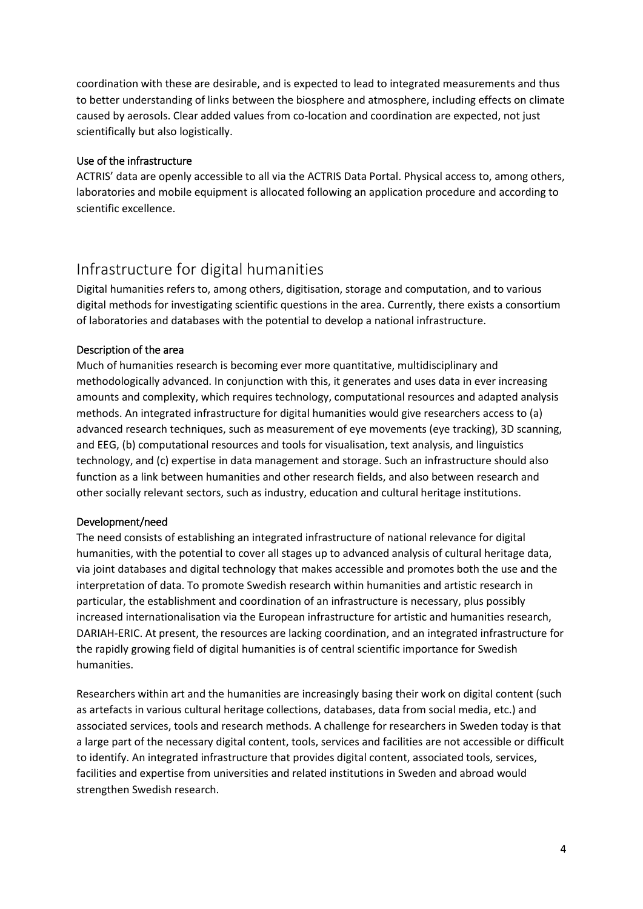coordination with these are desirable, and is expected to lead to integrated measurements and thus to better understanding of links between the biosphere and atmosphere, including effects on climate caused by aerosols. Clear added values from co-location and coordination are expected, not just scientifically but also logistically.

#### Use of the infrastructure

ACTRIS' data are openly accessible to all via the ACTRIS Data Portal. Physical access to, among others, laboratories and mobile equipment is allocated following an application procedure and according to scientific excellence.

## <span id="page-3-0"></span>Infrastructure for digital humanities

Digital humanities refers to, among others, digitisation, storage and computation, and to various digital methods for investigating scientific questions in the area. Currently, there exists a consortium of laboratories and databases with the potential to develop a national infrastructure.

### Description of the area

Much of humanities research is becoming ever more quantitative, multidisciplinary and methodologically advanced. In conjunction with this, it generates and uses data in ever increasing amounts and complexity, which requires technology, computational resources and adapted analysis methods. An integrated infrastructure for digital humanities would give researchers access to (a) advanced research techniques, such as measurement of eye movements (eye tracking), 3D scanning, and EEG, (b) computational resources and tools for visualisation, text analysis, and linguistics technology, and (c) expertise in data management and storage. Such an infrastructure should also function as a link between humanities and other research fields, and also between research and other socially relevant sectors, such as industry, education and cultural heritage institutions.

### Development/need

The need consists of establishing an integrated infrastructure of national relevance for digital humanities, with the potential to cover all stages up to advanced analysis of cultural heritage data, via joint databases and digital technology that makes accessible and promotes both the use and the interpretation of data. To promote Swedish research within humanities and artistic research in particular, the establishment and coordination of an infrastructure is necessary, plus possibly increased internationalisation via the European infrastructure for artistic and humanities research, DARIAH-ERIC. At present, the resources are lacking coordination, and an integrated infrastructure for the rapidly growing field of digital humanities is of central scientific importance for Swedish humanities.

Researchers within art and the humanities are increasingly basing their work on digital content (such as artefacts in various cultural heritage collections, databases, data from social media, etc.) and associated services, tools and research methods. A challenge for researchers in Sweden today is that a large part of the necessary digital content, tools, services and facilities are not accessible or difficult to identify. An integrated infrastructure that provides digital content, associated tools, services, facilities and expertise from universities and related institutions in Sweden and abroad would strengthen Swedish research.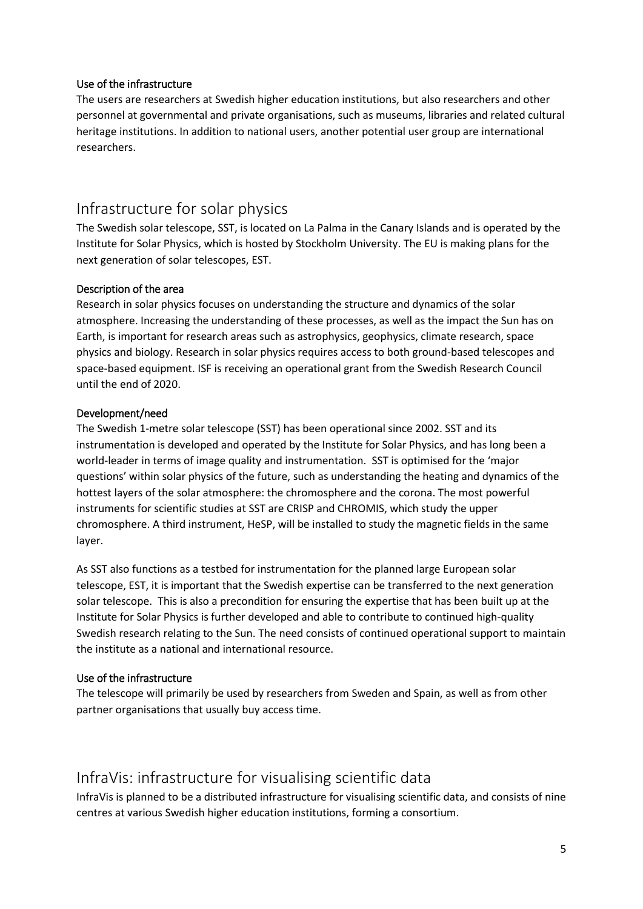### Use of the infrastructure

The users are researchers at Swedish higher education institutions, but also researchers and other personnel at governmental and private organisations, such as museums, libraries and related cultural heritage institutions. In addition to national users, another potential user group are international researchers.

### <span id="page-4-0"></span>Infrastructure for solar physics

The Swedish solar telescope, SST, is located on La Palma in the Canary Islands and is operated by the Institute for Solar Physics, which is hosted by Stockholm University. The EU is making plans for the next generation of solar telescopes, EST.

#### Description of the area

Research in solar physics focuses on understanding the structure and dynamics of the solar atmosphere. Increasing the understanding of these processes, as well as the impact the Sun has on Earth, is important for research areas such as astrophysics, geophysics, climate research, space physics and biology. Research in solar physics requires access to both ground-based telescopes and space-based equipment. ISF is receiving an operational grant from the Swedish Research Council until the end of 2020.

#### Development/need

The Swedish 1-metre solar telescope (SST) has been operational since 2002. SST and its instrumentation is developed and operated by the Institute for Solar Physics, and has long been a world-leader in terms of image quality and instrumentation. SST is optimised for the 'major questions' within solar physics of the future, such as understanding the heating and dynamics of the hottest layers of the solar atmosphere: the chromosphere and the corona. The most powerful instruments for scientific studies at SST are CRISP and CHROMIS, which study the upper chromosphere. A third instrument, HeSP, will be installed to study the magnetic fields in the same layer.

As SST also functions as a testbed for instrumentation for the planned large European solar telescope, EST, it is important that the Swedish expertise can be transferred to the next generation solar telescope. This is also a precondition for ensuring the expertise that has been built up at the Institute for Solar Physics is further developed and able to contribute to continued high-quality Swedish research relating to the Sun. The need consists of continued operational support to maintain the institute as a national and international resource.

### Use of the infrastructure

The telescope will primarily be used by researchers from Sweden and Spain, as well as from other partner organisations that usually buy access time.

### <span id="page-4-1"></span>InfraVis: infrastructure for visualising scientific data

InfraVis is planned to be a distributed infrastructure for visualising scientific data, and consists of nine centres at various Swedish higher education institutions, forming a consortium.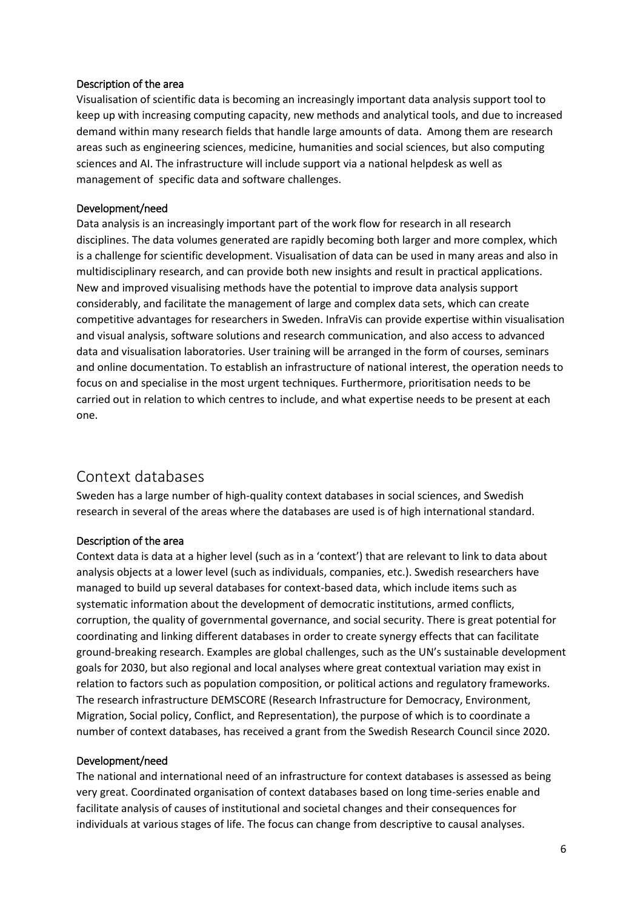#### Description of the area

Visualisation of scientific data is becoming an increasingly important data analysis support tool to keep up with increasing computing capacity, new methods and analytical tools, and due to increased demand within many research fields that handle large amounts of data. Among them are research areas such as engineering sciences, medicine, humanities and social sciences, but also computing sciences and AI. The infrastructure will include support via a national helpdesk as well as management of specific data and software challenges.

#### Development/need

Data analysis is an increasingly important part of the work flow for research in all research disciplines. The data volumes generated are rapidly becoming both larger and more complex, which is a challenge for scientific development. Visualisation of data can be used in many areas and also in multidisciplinary research, and can provide both new insights and result in practical applications. New and improved visualising methods have the potential to improve data analysis support considerably, and facilitate the management of large and complex data sets, which can create competitive advantages for researchers in Sweden. InfraVis can provide expertise within visualisation and visual analysis, software solutions and research communication, and also access to advanced data and visualisation laboratories. User training will be arranged in the form of courses, seminars and online documentation. To establish an infrastructure of national interest, the operation needs to focus on and specialise in the most urgent techniques. Furthermore, prioritisation needs to be carried out in relation to which centres to include, and what expertise needs to be present at each one.

### <span id="page-5-0"></span>Context databases

Sweden has a large number of high-quality context databases in social sciences, and Swedish research in several of the areas where the databases are used is of high international standard.

### Description of the area

Context data is data at a higher level (such as in a 'context') that are relevant to link to data about analysis objects at a lower level (such as individuals, companies, etc.). Swedish researchers have managed to build up several databases for context-based data, which include items such as systematic information about the development of democratic institutions, armed conflicts, corruption, the quality of governmental governance, and social security. There is great potential for coordinating and linking different databases in order to create synergy effects that can facilitate ground-breaking research. Examples are global challenges, such as the UN's sustainable development goals for 2030, but also regional and local analyses where great contextual variation may exist in relation to factors such as population composition, or political actions and regulatory frameworks. The research infrastructure DEMSCORE (Research Infrastructure for Democracy, Environment, Migration, Social policy, Conflict, and Representation), the purpose of which is to coordinate a number of context databases, has received a grant from the Swedish Research Council since 2020.

#### Development/need

The national and international need of an infrastructure for context databases is assessed as being very great. Coordinated organisation of context databases based on long time-series enable and facilitate analysis of causes of institutional and societal changes and their consequences for individuals at various stages of life. The focus can change from descriptive to causal analyses.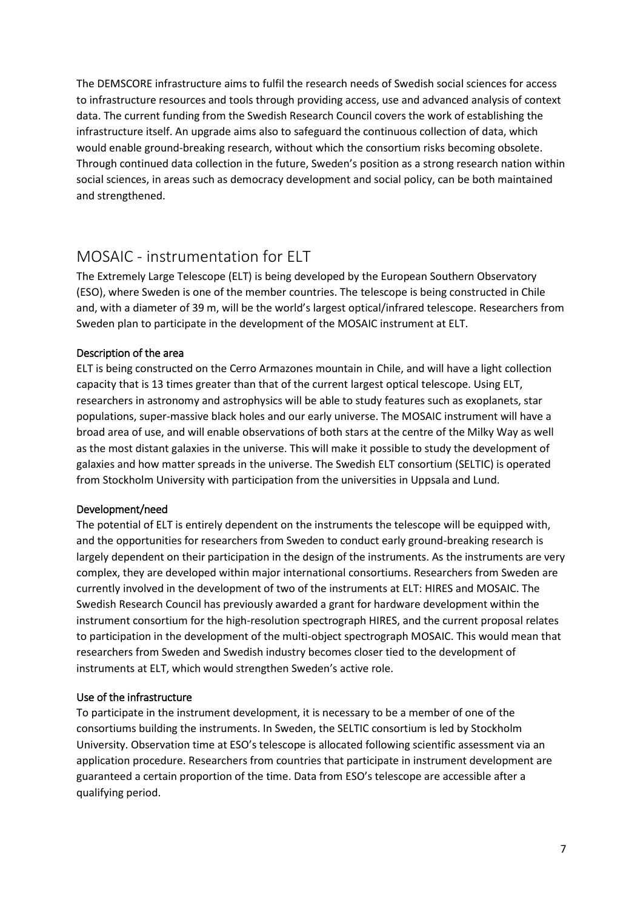The DEMSCORE infrastructure aims to fulfil the research needs of Swedish social sciences for access to infrastructure resources and tools through providing access, use and advanced analysis of context data. The current funding from the Swedish Research Council covers the work of establishing the infrastructure itself. An upgrade aims also to safeguard the continuous collection of data, which would enable ground-breaking research, without which the consortium risks becoming obsolete. Through continued data collection in the future, Sweden's position as a strong research nation within social sciences, in areas such as democracy development and social policy, can be both maintained and strengthened.

## <span id="page-6-0"></span>MOSAIC - instrumentation for ELT

The Extremely Large Telescope (ELT) is being developed by the European Southern Observatory (ESO), where Sweden is one of the member countries. The telescope is being constructed in Chile and, with a diameter of 39 m, will be the world's largest optical/infrared telescope. Researchers from Sweden plan to participate in the development of the MOSAIC instrument at ELT.

### Description of the area

ELT is being constructed on the Cerro Armazones mountain in Chile, and will have a light collection capacity that is 13 times greater than that of the current largest optical telescope. Using ELT, researchers in astronomy and astrophysics will be able to study features such as exoplanets, star populations, super-massive black holes and our early universe. The MOSAIC instrument will have a broad area of use, and will enable observations of both stars at the centre of the Milky Way as well as the most distant galaxies in the universe. This will make it possible to study the development of galaxies and how matter spreads in the universe. The Swedish ELT consortium (SELTIC) is operated from Stockholm University with participation from the universities in Uppsala and Lund.

### Development/need

The potential of ELT is entirely dependent on the instruments the telescope will be equipped with, and the opportunities for researchers from Sweden to conduct early ground-breaking research is largely dependent on their participation in the design of the instruments. As the instruments are very complex, they are developed within major international consortiums. Researchers from Sweden are currently involved in the development of two of the instruments at ELT: HIRES and MOSAIC. The Swedish Research Council has previously awarded a grant for hardware development within the instrument consortium for the high-resolution spectrograph HIRES, and the current proposal relates to participation in the development of the multi-object spectrograph MOSAIC. This would mean that researchers from Sweden and Swedish industry becomes closer tied to the development of instruments at ELT, which would strengthen Sweden's active role.

### Use of the infrastructure

To participate in the instrument development, it is necessary to be a member of one of the consortiums building the instruments. In Sweden, the SELTIC consortium is led by Stockholm University. Observation time at ESO's telescope is allocated following scientific assessment via an application procedure. Researchers from countries that participate in instrument development are guaranteed a certain proportion of the time. Data from ESO's telescope are accessible after a qualifying period.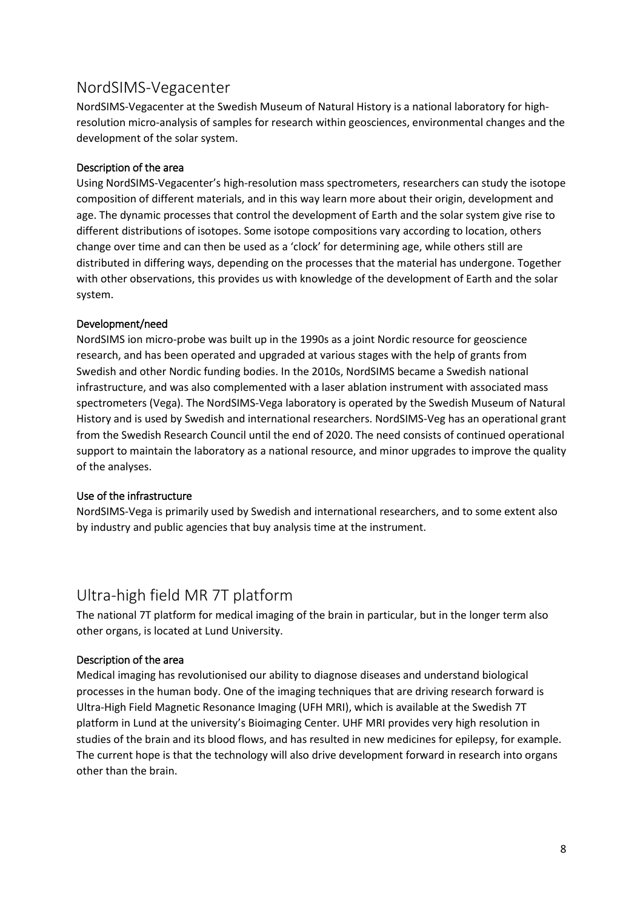### <span id="page-7-0"></span>NordSIMS-Vegacenter

NordSIMS-Vegacenter at the Swedish Museum of Natural History is a national laboratory for highresolution micro-analysis of samples for research within geosciences, environmental changes and the development of the solar system.

### Description of the area

Using NordSIMS-Vegacenter's high-resolution mass spectrometers, researchers can study the isotope composition of different materials, and in this way learn more about their origin, development and age. The dynamic processes that control the development of Earth and the solar system give rise to different distributions of isotopes. Some isotope compositions vary according to location, others change over time and can then be used as a 'clock' for determining age, while others still are distributed in differing ways, depending on the processes that the material has undergone. Together with other observations, this provides us with knowledge of the development of Earth and the solar system.

### Development/need

NordSIMS ion micro-probe was built up in the 1990s as a joint Nordic resource for geoscience research, and has been operated and upgraded at various stages with the help of grants from Swedish and other Nordic funding bodies. In the 2010s, NordSIMS became a Swedish national infrastructure, and was also complemented with a laser ablation instrument with associated mass spectrometers (Vega). The NordSIMS-Vega laboratory is operated by the Swedish Museum of Natural History and is used by Swedish and international researchers. NordSIMS-Veg has an operational grant from the Swedish Research Council until the end of 2020. The need consists of continued operational support to maintain the laboratory as a national resource, and minor upgrades to improve the quality of the analyses.

### Use of the infrastructure

NordSIMS-Vega is primarily used by Swedish and international researchers, and to some extent also by industry and public agencies that buy analysis time at the instrument.

### <span id="page-7-1"></span>Ultra-high field MR 7T platform

The national 7T platform for medical imaging of the brain in particular, but in the longer term also other organs, is located at Lund University.

### Description of the area

Medical imaging has revolutionised our ability to diagnose diseases and understand biological processes in the human body. One of the imaging techniques that are driving research forward is Ultra-High Field Magnetic Resonance Imaging (UFH MRI), which is available at the Swedish 7T platform in Lund at the university's Bioimaging Center. UHF MRI provides very high resolution in studies of the brain and its blood flows, and has resulted in new medicines for epilepsy, for example. The current hope is that the technology will also drive development forward in research into organs other than the brain.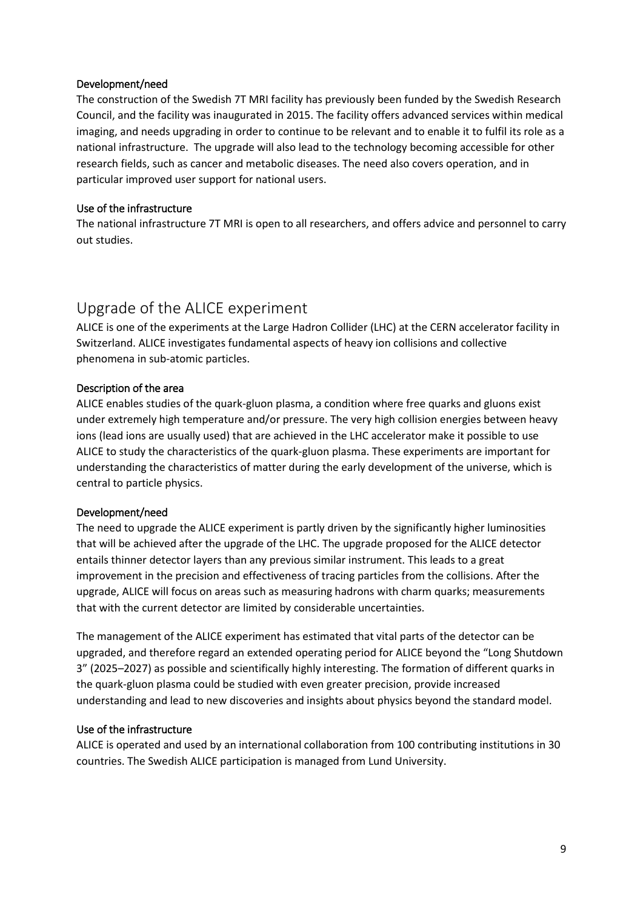### Development/need

The construction of the Swedish 7T MRI facility has previously been funded by the Swedish Research Council, and the facility was inaugurated in 2015. The facility offers advanced services within medical imaging, and needs upgrading in order to continue to be relevant and to enable it to fulfil its role as a national infrastructure. The upgrade will also lead to the technology becoming accessible for other research fields, such as cancer and metabolic diseases. The need also covers operation, and in particular improved user support for national users.

### Use of the infrastructure

The national infrastructure 7T MRI is open to all researchers, and offers advice and personnel to carry out studies.

## <span id="page-8-0"></span>Upgrade of the ALICE experiment

ALICE is one of the experiments at the Large Hadron Collider (LHC) at the CERN accelerator facility in Switzerland. ALICE investigates fundamental aspects of heavy ion collisions and collective phenomena in sub-atomic particles.

### Description of the area

ALICE enables studies of the quark-gluon plasma, a condition where free quarks and gluons exist under extremely high temperature and/or pressure. The very high collision energies between heavy ions (lead ions are usually used) that are achieved in the LHC accelerator make it possible to use ALICE to study the characteristics of the quark-gluon plasma. These experiments are important for understanding the characteristics of matter during the early development of the universe, which is central to particle physics.

### Development/need

The need to upgrade the ALICE experiment is partly driven by the significantly higher luminosities that will be achieved after the upgrade of the LHC. The upgrade proposed for the ALICE detector entails thinner detector layers than any previous similar instrument. This leads to a great improvement in the precision and effectiveness of tracing particles from the collisions. After the upgrade, ALICE will focus on areas such as measuring hadrons with charm quarks; measurements that with the current detector are limited by considerable uncertainties.

The management of the ALICE experiment has estimated that vital parts of the detector can be upgraded, and therefore regard an extended operating period for ALICE beyond the "Long Shutdown 3" (2025–2027) as possible and scientifically highly interesting. The formation of different quarks in the quark-gluon plasma could be studied with even greater precision, provide increased understanding and lead to new discoveries and insights about physics beyond the standard model.

### Use of the infrastructure

ALICE is operated and used by an international collaboration from 100 contributing institutions in 30 countries. The Swedish ALICE participation is managed from Lund University.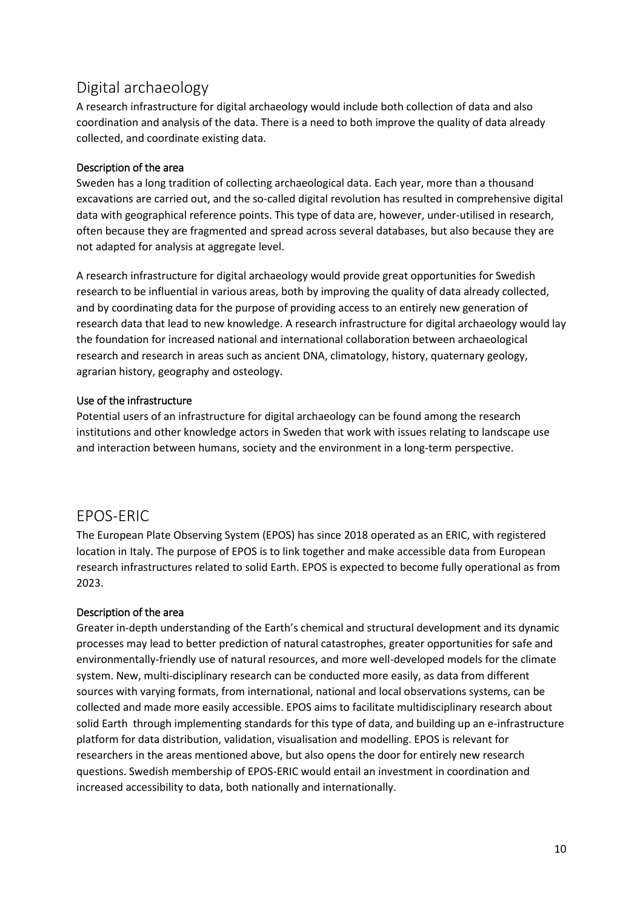## <span id="page-9-0"></span>Digital archaeology

A research infrastructure for digital archaeology would include both collection of data and also coordination and analysis of the data. There is a need to both improve the quality of data already collected, and coordinate existing data.

### Description of the area

Sweden has a long tradition of collecting archaeological data. Each year, more than a thousand excavations are carried out, and the so-called digital revolution has resulted in comprehensive digital data with geographical reference points. This type of data are, however, under-utilised in research, often because they are fragmented and spread across several databases, but also because they are not adapted for analysis at aggregate level.

A research infrastructure for digital archaeology would provide great opportunities for Swedish research to be influential in various areas, both by improving the quality of data already collected, and by coordinating data for the purpose of providing access to an entirely new generation of research data that lead to new knowledge. A research infrastructure for digital archaeology would lay the foundation for increased national and international collaboration between archaeological research and research in areas such as ancient DNA, climatology, history, quaternary geology, agrarian history, geography and osteology.

### Use of the infrastructure

Potential users of an infrastructure for digital archaeology can be found among the research institutions and other knowledge actors in Sweden that work with issues relating to landscape use and interaction between humans, society and the environment in a long-term perspective.

### <span id="page-9-1"></span>EPOS-ERIC

The European Plate Observing System (EPOS) has since 2018 operated as an ERIC, with registered location in Italy. The purpose of EPOS is to link together and make accessible data from European research infrastructures related to solid Earth. EPOS is expected to become fully operational as from 2023.

### Description of the area

Greater in-depth understanding of the Earth's chemical and structural development and its dynamic processes may lead to better prediction of natural catastrophes, greater opportunities for safe and environmentally-friendly use of natural resources, and more well-developed models for the climate system. New, multi-disciplinary research can be conducted more easily, as data from different sources with varying formats, from international, national and local observations systems, can be collected and made more easily accessible. EPOS aims to facilitate multidisciplinary research about solid Earth through implementing standards for this type of data, and building up an e-infrastructure platform for data distribution, validation, visualisation and modelling. EPOS is relevant for researchers in the areas mentioned above, but also opens the door for entirely new research questions. Swedish membership of EPOS-ERIC would entail an investment in coordination and increased accessibility to data, both nationally and internationally.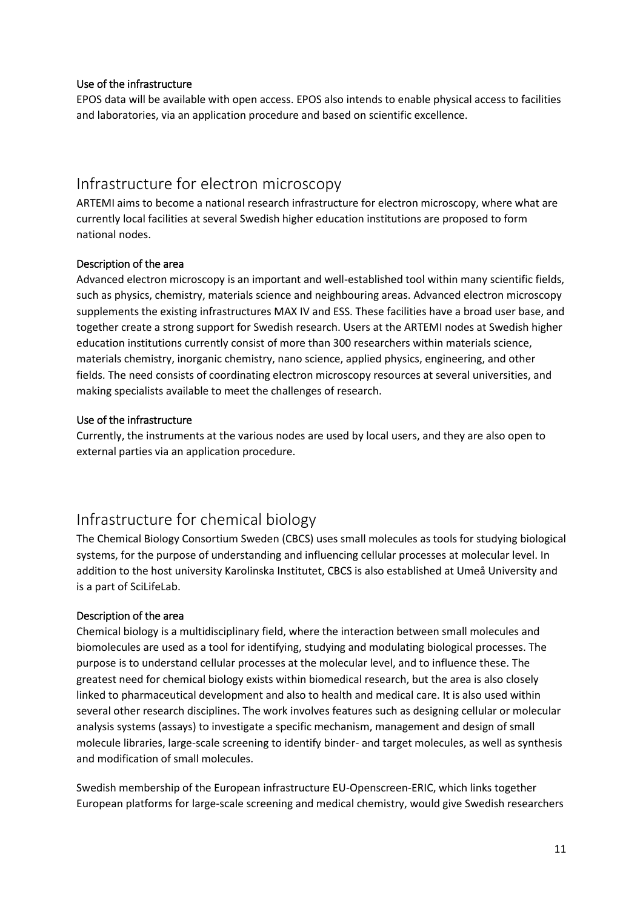### Use of the infrastructure

EPOS data will be available with open access. EPOS also intends to enable physical access to facilities and laboratories, via an application procedure and based on scientific excellence.

### <span id="page-10-0"></span>Infrastructure for electron microscopy

ARTEMI aims to become a national research infrastructure for electron microscopy, where what are currently local facilities at several Swedish higher education institutions are proposed to form national nodes.

### Description of the area

Advanced electron microscopy is an important and well-established tool within many scientific fields, such as physics, chemistry, materials science and neighbouring areas. Advanced electron microscopy supplements the existing infrastructures MAX IV and ESS. These facilities have a broad user base, and together create a strong support for Swedish research. Users at the ARTEMI nodes at Swedish higher education institutions currently consist of more than 300 researchers within materials science, materials chemistry, inorganic chemistry, nano science, applied physics, engineering, and other fields. The need consists of coordinating electron microscopy resources at several universities, and making specialists available to meet the challenges of research.

#### Use of the infrastructure

Currently, the instruments at the various nodes are used by local users, and they are also open to external parties via an application procedure.

## <span id="page-10-1"></span>Infrastructure for chemical biology

The Chemical Biology Consortium Sweden (CBCS) uses small molecules as tools for studying biological systems, for the purpose of understanding and influencing cellular processes at molecular level. In addition to the host university Karolinska Institutet, CBCS is also established at Umeå University and is a part of SciLifeLab.

### Description of the area

Chemical biology is a multidisciplinary field, where the interaction between small molecules and biomolecules are used as a tool for identifying, studying and modulating biological processes. The purpose is to understand cellular processes at the molecular level, and to influence these. The greatest need for chemical biology exists within biomedical research, but the area is also closely linked to pharmaceutical development and also to health and medical care. It is also used within several other research disciplines. The work involves features such as designing cellular or molecular analysis systems (assays) to investigate a specific mechanism, management and design of small molecule libraries, large-scale screening to identify binder- and target molecules, as well as synthesis and modification of small molecules.

Swedish membership of the European infrastructure EU-Openscreen-ERIC, which links together European platforms for large-scale screening and medical chemistry, would give Swedish researchers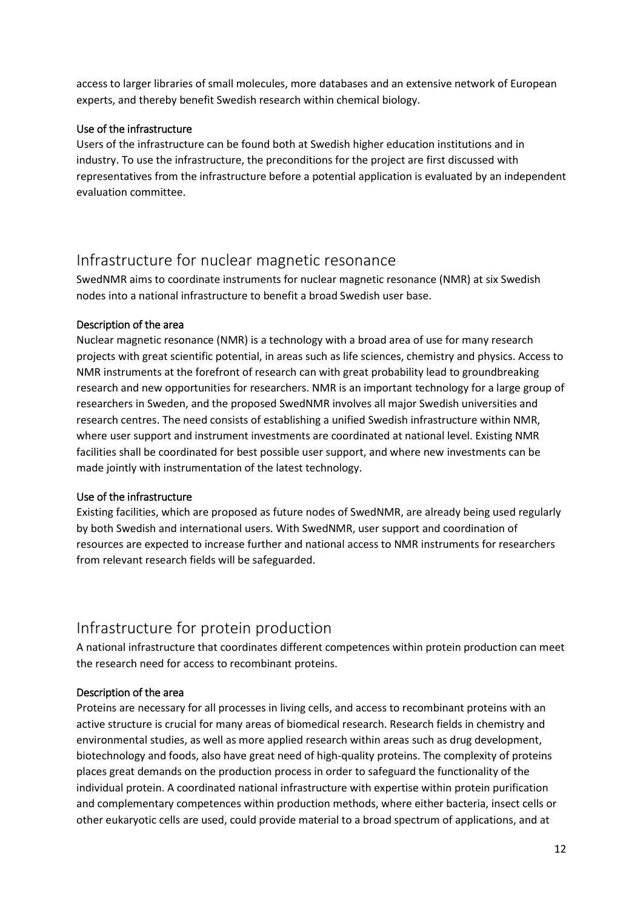access to larger libraries of small molecules, more databases and an extensive network of European experts, and thereby benefit Swedish research within chemical biology.

### Use of the infrastructure

Users of the infrastructure can be found both at Swedish higher education institutions and in industry. To use the infrastructure, the preconditions for the project are first discussed with representatives from the infrastructure before a potential application is evaluated by an independent evaluation committee.

## <span id="page-11-0"></span>Infrastructure for nuclear magnetic resonance

SwedNMR aims to coordinate instruments for nuclear magnetic resonance (NMR) at six Swedish nodes into a national infrastructure to benefit a broad Swedish user base.

#### Description of the area

Nuclear magnetic resonance (NMR) is a technology with a broad area of use for many research projects with great scientific potential, in areas such as life sciences, chemistry and physics. Access to NMR instruments at the forefront of research can with great probability lead to groundbreaking research and new opportunities for researchers. NMR is an important technology for a large group of researchers in Sweden, and the proposed SwedNMR involves all major Swedish universities and research centres. The need consists of establishing a unified Swedish infrastructure within NMR, where user support and instrument investments are coordinated at national level. Existing NMR facilities shall be coordinated for best possible user support, and where new investments can be made jointly with instrumentation of the latest technology.

### Use of the infrastructure

Existing facilities, which are proposed as future nodes of SwedNMR, are already being used regularly by both Swedish and international users. With SwedNMR, user support and coordination of resources are expected to increase further and national access to NMR instruments for researchers from relevant research fields will be safeguarded.

## <span id="page-11-1"></span>Infrastructure for protein production

A national infrastructure that coordinates different competences within protein production can meet the research need for access to recombinant proteins.

### Description of the area

Proteins are necessary for all processes in living cells, and access to recombinant proteins with an active structure is crucial for many areas of biomedical research. Research fields in chemistry and environmental studies, as well as more applied research within areas such as drug development, biotechnology and foods, also have great need of high-quality proteins. The complexity of proteins places great demands on the production process in order to safeguard the functionality of the individual protein. A coordinated national infrastructure with expertise within protein purification and complementary competences within production methods, where either bacteria, insect cells or other eukaryotic cells are used, could provide material to a broad spectrum of applications, and at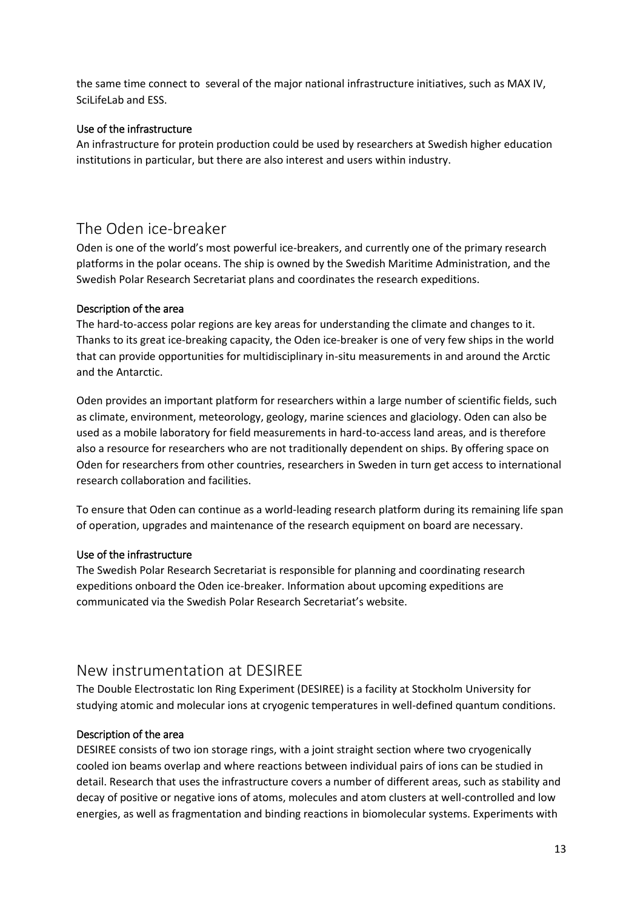the same time connect to several of the major national infrastructure initiatives, such as MAX IV, SciLifeLab and ESS.

### Use of the infrastructure

An infrastructure for protein production could be used by researchers at Swedish higher education institutions in particular, but there are also interest and users within industry.

## <span id="page-12-0"></span>The Oden ice-breaker

Oden is one of the world's most powerful ice-breakers, and currently one of the primary research platforms in the polar oceans. The ship is owned by the Swedish Maritime Administration, and the Swedish Polar Research Secretariat plans and coordinates the research expeditions.

### Description of the area

The hard-to-access polar regions are key areas for understanding the climate and changes to it. Thanks to its great ice-breaking capacity, the Oden ice-breaker is one of very few ships in the world that can provide opportunities for multidisciplinary in-situ measurements in and around the Arctic and the Antarctic.

Oden provides an important platform for researchers within a large number of scientific fields, such as climate, environment, meteorology, geology, marine sciences and glaciology. Oden can also be used as a mobile laboratory for field measurements in hard-to-access land areas, and is therefore also a resource for researchers who are not traditionally dependent on ships. By offering space on Oden for researchers from other countries, researchers in Sweden in turn get access to international research collaboration and facilities.

To ensure that Oden can continue as a world-leading research platform during its remaining life span of operation, upgrades and maintenance of the research equipment on board are necessary.

### Use of the infrastructure

The Swedish Polar Research Secretariat is responsible for planning and coordinating research expeditions onboard the Oden ice-breaker. Information about upcoming expeditions are communicated via the Swedish Polar Research Secretariat's website.

### <span id="page-12-1"></span>New instrumentation at DESIREE

The Double Electrostatic Ion Ring Experiment (DESIREE) is a facility at Stockholm University for studying atomic and molecular ions at cryogenic temperatures in well-defined quantum conditions.

### Description of the area

DESIREE consists of two ion storage rings, with a joint straight section where two cryogenically cooled ion beams overlap and where reactions between individual pairs of ions can be studied in detail. Research that uses the infrastructure covers a number of different areas, such as stability and decay of positive or negative ions of atoms, molecules and atom clusters at well-controlled and low energies, as well as fragmentation and binding reactions in biomolecular systems. Experiments with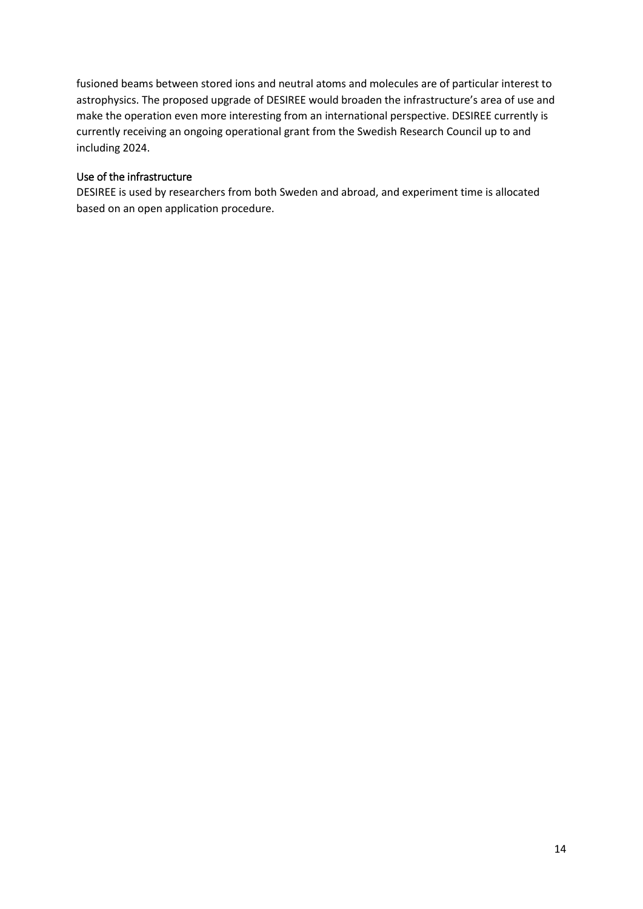fusioned beams between stored ions and neutral atoms and molecules are of particular interest to astrophysics. The proposed upgrade of DESIREE would broaden the infrastructure's area of use and make the operation even more interesting from an international perspective. DESIREE currently is currently receiving an ongoing operational grant from the Swedish Research Council up to and including 2024.

### Use of the infrastructure

DESIREE is used by researchers from both Sweden and abroad, and experiment time is allocated based on an open application procedure.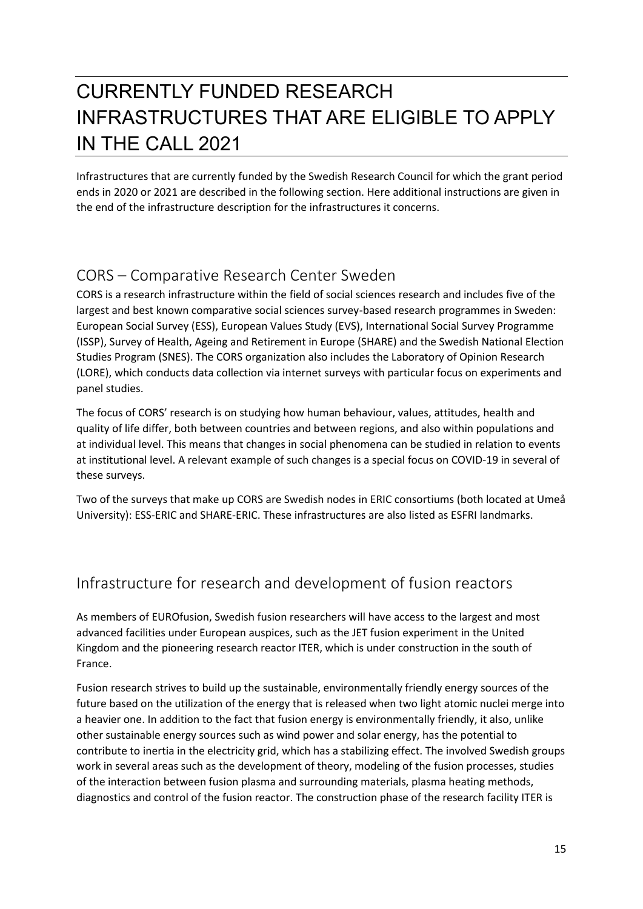# <span id="page-14-0"></span>CURRENTLY FUNDED RESEARCH INFRASTRUCTURES THAT ARE ELIGIBLE TO APPLY IN THE CALL 2021

Infrastructures that are currently funded by the Swedish Research Council for which the grant period ends in 2020 or 2021 are described in the following section. Here additional instructions are given in the end of the infrastructure description for the infrastructures it concerns.

## <span id="page-14-1"></span>CORS – Comparative Research Center Sweden

CORS is a research infrastructure within the field of social sciences research and includes five of the largest and best known comparative social sciences survey-based research programmes in Sweden: European Social Survey (ESS), European Values Study (EVS), International Social Survey Programme (ISSP), Survey of Health, Ageing and Retirement in Europe (SHARE) and the Swedish National Election Studies Program (SNES). The CORS organization also includes the Laboratory of Opinion Research (LORE), which conducts data collection via internet surveys with particular focus on experiments and panel studies.

The focus of CORS' research is on studying how human behaviour, values, attitudes, health and quality of life differ, both between countries and between regions, and also within populations and at individual level. This means that changes in social phenomena can be studied in relation to events at institutional level. A relevant example of such changes is a special focus on COVID-19 in several of these surveys.

Two of the surveys that make up CORS are Swedish nodes in ERIC consortiums (both located at Umeå University): ESS-ERIC and SHARE-ERIC. These infrastructures are also listed as ESFRI landmarks.

## <span id="page-14-2"></span>Infrastructure for research and development of fusion reactors

As members of EUROfusion, Swedish fusion researchers will have access to the largest and most advanced facilities under European auspices, such as the JET fusion experiment in the United Kingdom and the pioneering research reactor ITER, which is under construction in the south of France.

Fusion research strives to build up the sustainable, environmentally friendly energy sources of the future based on the utilization of the energy that is released when two light atomic nuclei merge into a heavier one. In addition to the fact that fusion energy is environmentally friendly, it also, unlike other sustainable energy sources such as wind power and solar energy, has the potential to contribute to inertia in the electricity grid, which has a stabilizing effect. The involved Swedish groups work in several areas such as the development of theory, modeling of the fusion processes, studies of the interaction between fusion plasma and surrounding materials, plasma heating methods, diagnostics and control of the fusion reactor. The construction phase of the research facility ITER is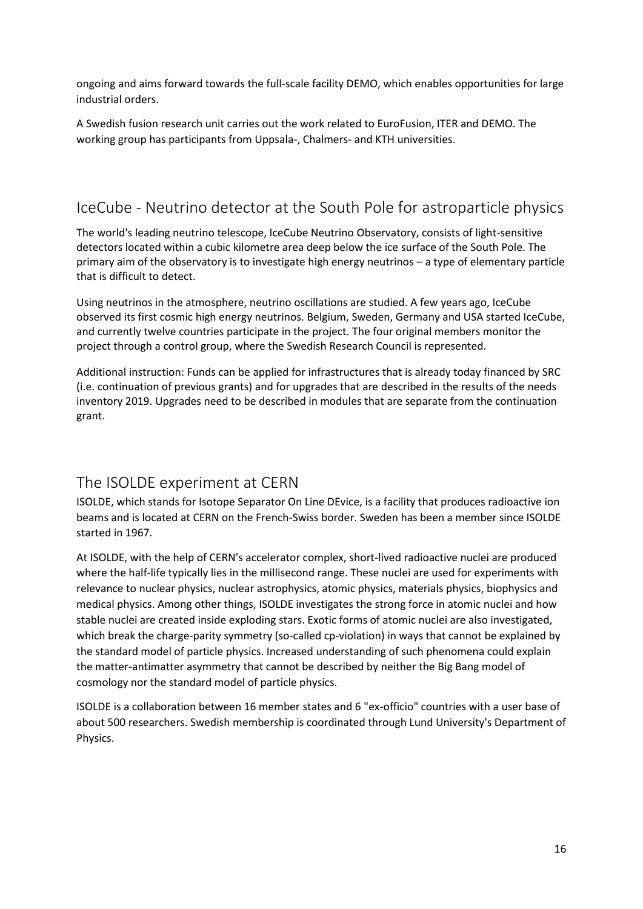ongoing and aims forward towards the full-scale facility DEMO, which enables opportunities for large industrial orders.

A Swedish fusion research unit carries out the work related to EuroFusion, ITER and DEMO. The working group has participants from Uppsala-, Chalmers- and KTH universities.

## <span id="page-15-0"></span>IceCube - Neutrino detector at the South Pole for astroparticle physics

The world's leading neutrino telescope, IceCube Neutrino Observatory, consists of light-sensitive detectors located within a cubic kilometre area deep below the ice surface of the South Pole. The primary aim of the observatory is to investigate high energy neutrinos – a type of elementary particle that is difficult to detect.

Using neutrinos in the atmosphere, neutrino oscillations are studied. A few years ago, IceCube observed its first cosmic high energy neutrinos. Belgium, Sweden, Germany and USA started IceCube, and currently twelve countries participate in the project. The four original members monitor the project through a control group, where the Swedish Research Council is represented.

Additional instruction: Funds can be applied for infrastructures that is already today financed by SRC (i.e. continuation of previous grants) and for upgrades that are described in the results of the needs inventory 2019. Upgrades need to be described in modules that are separate from the continuation grant.

## <span id="page-15-1"></span>The ISOLDE experiment at CERN

ISOLDE, which stands for Isotope Separator On Line DEvice, is a facility that produces radioactive ion beams and is located at CERN on the French-Swiss border. Sweden has been a member since ISOLDE started in 1967.

At ISOLDE, with the help of CERN's accelerator complex, short-lived radioactive nuclei are produced where the half-life typically lies in the millisecond range. These nuclei are used for experiments with relevance to nuclear physics, nuclear astrophysics, atomic physics, materials physics, biophysics and medical physics. Among other things, ISOLDE investigates the strong force in atomic nuclei and how stable nuclei are created inside exploding stars. Exotic forms of atomic nuclei are also investigated, which break the charge-parity symmetry (so-called cp-violation) in ways that cannot be explained by the standard model of particle physics. Increased understanding of such phenomena could explain the matter-antimatter asymmetry that cannot be described by neither the Big Bang model of cosmology nor the standard model of particle physics.

ISOLDE is a collaboration between 16 member states and 6 "ex-officio" countries with a user base of about 500 researchers. Swedish membership is coordinated through Lund University's Department of Physics.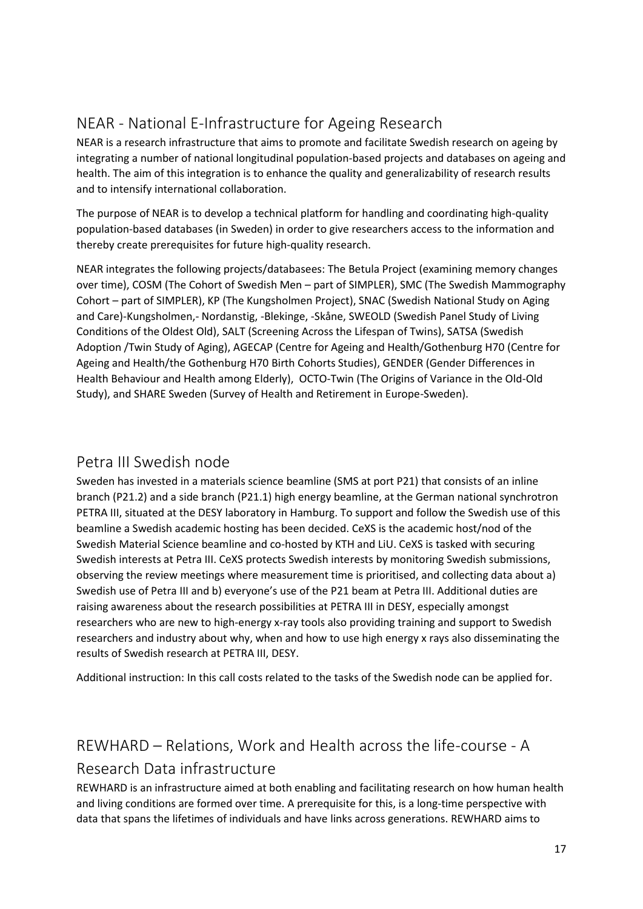# <span id="page-16-0"></span>NEAR - National E-Infrastructure for Ageing Research

NEAR is a research infrastructure that aims to promote and facilitate Swedish research on ageing by integrating a number of national longitudinal population-based projects and databases on ageing and health. The aim of this integration is to enhance the quality and generalizability of research results and to intensify international collaboration.

The purpose of NEAR is to develop a technical platform for handling and coordinating high-quality population-based databases (in Sweden) in order to give researchers access to the information and thereby create prerequisites for future high-quality research.

NEAR integrates the following projects/databasees: The Betula Project (examining memory changes over time), COSM (The Cohort of Swedish Men – part of SIMPLER), SMC (The Swedish Mammography Cohort – part of SIMPLER), KP (The Kungsholmen Project), SNAC (Swedish National Study on Aging and Care)-Kungsholmen,- Nordanstig, -Blekinge, -Skåne, SWEOLD (Swedish Panel Study of Living Conditions of the Oldest Old), SALT (Screening Across the Lifespan of Twins), SATSA (Swedish Adoption /Twin Study of Aging), AGECAP (Centre for Ageing and Health/Gothenburg H70 (Centre for Ageing and Health/the Gothenburg H70 Birth Cohorts Studies), GENDER (Gender Differences in Health Behaviour and Health among Elderly), OCTO-Twin (The Origins of Variance in the Old-Old Study), and SHARE Sweden (Survey of Health and Retirement in Europe-Sweden).

## <span id="page-16-1"></span>Petra III Swedish node

Sweden has invested in a materials science beamline (SMS at port P21) that consists of an inline branch (P21.2) and a side branch (P21.1) high energy beamline, at the German national synchrotron PETRA III, situated at the DESY laboratory in Hamburg. To support and follow the Swedish use of this beamline a Swedish academic hosting has been decided. CeXS is the academic host/nod of the Swedish Material Science beamline and co-hosted by KTH and LiU. CeXS is tasked with securing Swedish interests at Petra III. CeXS protects Swedish interests by monitoring Swedish submissions, observing the review meetings where measurement time is prioritised, and collecting data about a) Swedish use of Petra III and b) everyone's use of the P21 beam at Petra III. Additional duties are raising awareness about the research possibilities at PETRA III in DESY, especially amongst researchers who are new to high-energy x-ray tools also providing training and support to Swedish researchers and industry about why, when and how to use high energy x rays also disseminating the results of Swedish research at PETRA III, DESY.

Additional instruction: In this call costs related to the tasks of the Swedish node can be applied for.

# <span id="page-16-2"></span>REWHARD – Relations, Work and Health across the life-course - A Research Data infrastructure

REWHARD is an infrastructure aimed at both enabling and facilitating research on how human health and living conditions are formed over time. A prerequisite for this, is a long-time perspective with data that spans the lifetimes of individuals and have links across generations. REWHARD aims to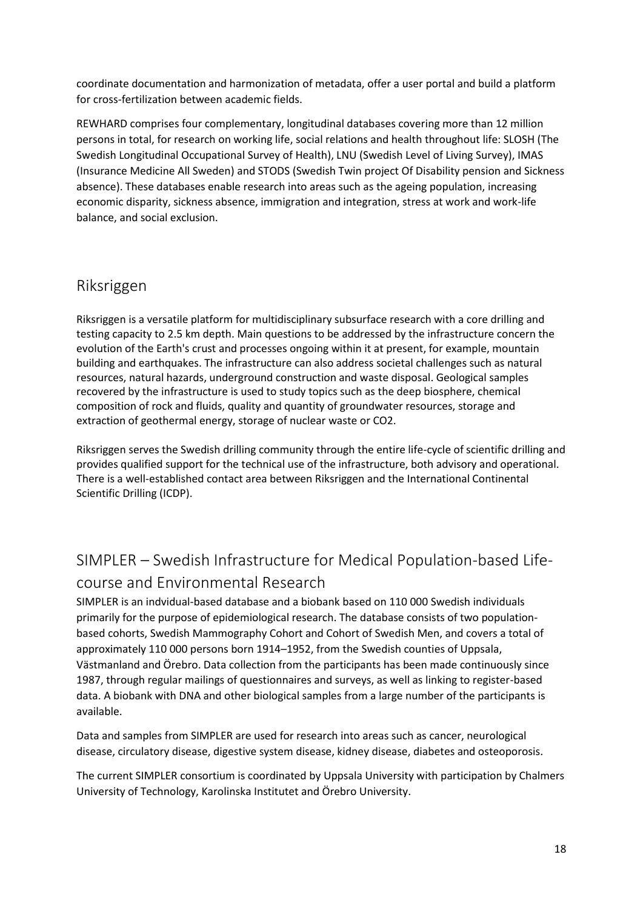coordinate documentation and harmonization of metadata, offer a user portal and build a platform for cross-fertilization between academic fields.

REWHARD comprises four complementary, longitudinal databases covering more than 12 million persons in total, for research on working life, social relations and health throughout life: SLOSH (The Swedish Longitudinal Occupational Survey of Health), LNU (Swedish Level of Living Survey), IMAS (Insurance Medicine All Sweden) and STODS (Swedish Twin project Of Disability pension and Sickness absence). These databases enable research into areas such as the ageing population, increasing economic disparity, sickness absence, immigration and integration, stress at work and work-life balance, and social exclusion.

### <span id="page-17-0"></span>Riksriggen

Riksriggen is a versatile platform for multidisciplinary subsurface research with a core drilling and testing capacity to 2.5 km depth. Main questions to be addressed by the infrastructure concern the evolution of the Earth's crust and processes ongoing within it at present, for example, mountain building and earthquakes. The infrastructure can also address societal challenges such as natural resources, natural hazards, underground construction and waste disposal. Geological samples recovered by the infrastructure is used to study topics such as the deep biosphere, chemical composition of rock and fluids, quality and quantity of groundwater resources, storage and extraction of geothermal energy, storage of nuclear waste or CO2.

Riksriggen serves the Swedish drilling community through the entire life-cycle of scientific drilling and provides qualified support for the technical use of the infrastructure, both advisory and operational. There is a well-established contact area between Riksriggen and the International Continental Scientific Drilling (ICDP).

## <span id="page-17-1"></span>SIMPLER – Swedish Infrastructure for Medical Population-based Lifecourse and Environmental Research

SIMPLER is an indvidual-based database and a biobank based on 110 000 Swedish individuals primarily for the purpose of epidemiological research. The database consists of two populationbased cohorts, Swedish Mammography Cohort and Cohort of Swedish Men, and covers a total of approximately 110 000 persons born 1914–1952, from the Swedish counties of Uppsala, Västmanland and Örebro. Data collection from the participants has been made continuously since 1987, through regular mailings of questionnaires and surveys, as well as linking to register-based data. A biobank with DNA and other biological samples from a large number of the participants is available.

Data and samples from SIMPLER are used for research into areas such as cancer, neurological disease, circulatory disease, digestive system disease, kidney disease, diabetes and osteoporosis.

The current SIMPLER consortium is coordinated by Uppsala University with participation by Chalmers University of Technology, Karolinska Institutet and Örebro University.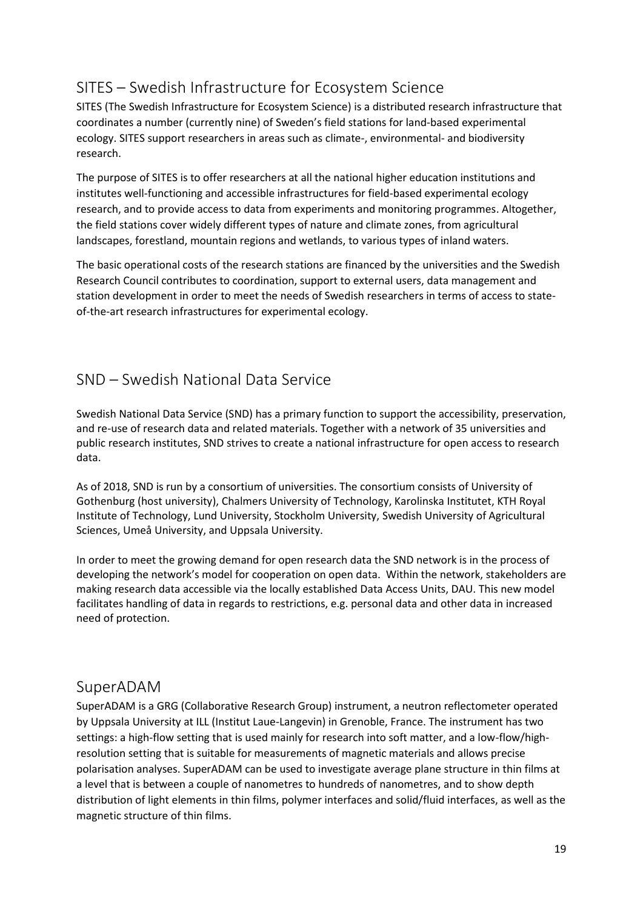## <span id="page-18-0"></span>SITES – Swedish Infrastructure for Ecosystem Science

SITES (The Swedish Infrastructure for Ecosystem Science) is a distributed research infrastructure that coordinates a number (currently nine) of Sweden's field stations for land-based experimental ecology. SITES support researchers in areas such as climate-, environmental- and biodiversity research.

The purpose of SITES is to offer researchers at all the national higher education institutions and institutes well-functioning and accessible infrastructures for field-based experimental ecology research, and to provide access to data from experiments and monitoring programmes. Altogether, the field stations cover widely different types of nature and climate zones, from agricultural landscapes, forestland, mountain regions and wetlands, to various types of inland waters.

The basic operational costs of the research stations are financed by the universities and the Swedish Research Council contributes to coordination, support to external users, data management and station development in order to meet the needs of Swedish researchers in terms of access to stateof-the-art research infrastructures for experimental ecology.

## <span id="page-18-1"></span>SND – Swedish National Data Service

Swedish National Data Service (SND) has a primary function to support the accessibility, preservation, and re-use of research data and related materials. Together with a network of 35 universities and public research institutes, SND strives to create a national infrastructure for open access to research data.

As of 2018, SND is run by a [consortium](https://snd.gu.se/en/about-us/snd-consortium) of universities. The consortium consists of University of Gothenburg (host university), Chalmers University of Technology, Karolinska Institutet, KTH Royal Institute of Technology, Lund University, Stockholm University, Swedish University of Agricultural Sciences, Umeå University, and Uppsala University.

In order to meet the growing demand for open research data the SND network is in the process of developing the network's model for cooperation on open data. Within the network, stakeholders are making research data accessible via the locally established Data Access Units, DAU. This new model facilitates handling of data in regards to restrictions, e.g. personal data and other data in increased need of protection.

### <span id="page-18-2"></span>SuperADAM

SuperADAM is a GRG (Collaborative Research Group) instrument, a neutron reflectometer operated by Uppsala University at ILL (Institut Laue-Langevin) in Grenoble, France. The instrument has two settings: a high-flow setting that is used mainly for research into soft matter, and a low-flow/highresolution setting that is suitable for measurements of magnetic materials and allows precise polarisation analyses. SuperADAM can be used to investigate average plane structure in thin films at a level that is between a couple of nanometres to hundreds of nanometres, and to show depth distribution of light elements in thin films, polymer interfaces and solid/fluid interfaces, as well as the magnetic structure of thin films.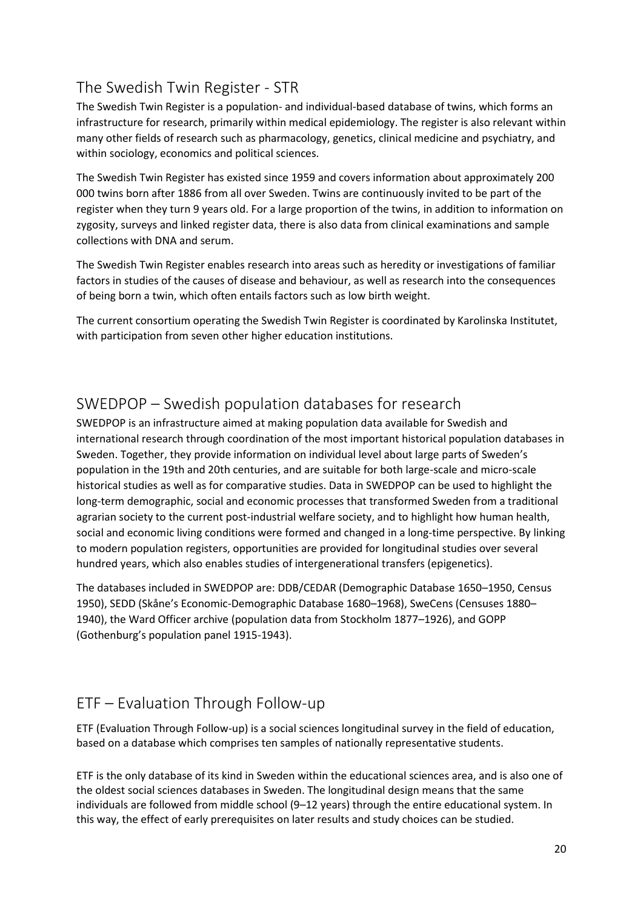## <span id="page-19-0"></span>The Swedish Twin Register - STR

The Swedish Twin Register is a population- and individual-based database of twins, which forms an infrastructure for research, primarily within medical epidemiology. The register is also relevant within many other fields of research such as pharmacology, genetics, clinical medicine and psychiatry, and within sociology, economics and political sciences.

The Swedish Twin Register has existed since 1959 and covers information about approximately 200 000 twins born after 1886 from all over Sweden. Twins are continuously invited to be part of the register when they turn 9 years old. For a large proportion of the twins, in addition to information on zygosity, surveys and linked register data, there is also data from clinical examinations and sample collections with DNA and serum.

The Swedish Twin Register enables research into areas such as heredity or investigations of familiar factors in studies of the causes of disease and behaviour, as well as research into the consequences of being born a twin, which often entails factors such as low birth weight.

The current consortium operating the Swedish Twin Register is coordinated by Karolinska Institutet, with participation from seven other higher education institutions.

## <span id="page-19-1"></span>SWEDPOP – Swedish population databases for research

SWEDPOP is an infrastructure aimed at making population data available for Swedish and international research through coordination of the most important historical population databases in Sweden. Together, they provide information on individual level about large parts of Sweden's population in the 19th and 20th centuries, and are suitable for both large-scale and micro-scale historical studies as well as for comparative studies. Data in SWEDPOP can be used to highlight the long-term demographic, social and economic processes that transformed Sweden from a traditional agrarian society to the current post-industrial welfare society, and to highlight how human health, social and economic living conditions were formed and changed in a long-time perspective. By linking to modern population registers, opportunities are provided for longitudinal studies over several hundred years, which also enables studies of intergenerational transfers (epigenetics).

The databases included in SWEDPOP are: DDB/CEDAR (Demographic Database 1650–1950, Census 1950), SEDD (Skåne's Economic-Demographic Database 1680–1968), SweCens (Censuses 1880– 1940), the Ward Officer archive (population data from Stockholm 1877–1926), and GOPP (Gothenburg's population panel 1915-1943).

## <span id="page-19-2"></span>ETF – Evaluation Through Follow-up

ETF (Evaluation Through Follow-up) is a social sciences longitudinal survey in the field of education, based on a database which comprises ten samples of nationally representative students.

ETF is the only database of its kind in Sweden within the educational sciences area, and is also one of the oldest social sciences databases in Sweden. The longitudinal design means that the same individuals are followed from middle school (9–12 years) through the entire educational system. In this way, the effect of early prerequisites on later results and study choices can be studied.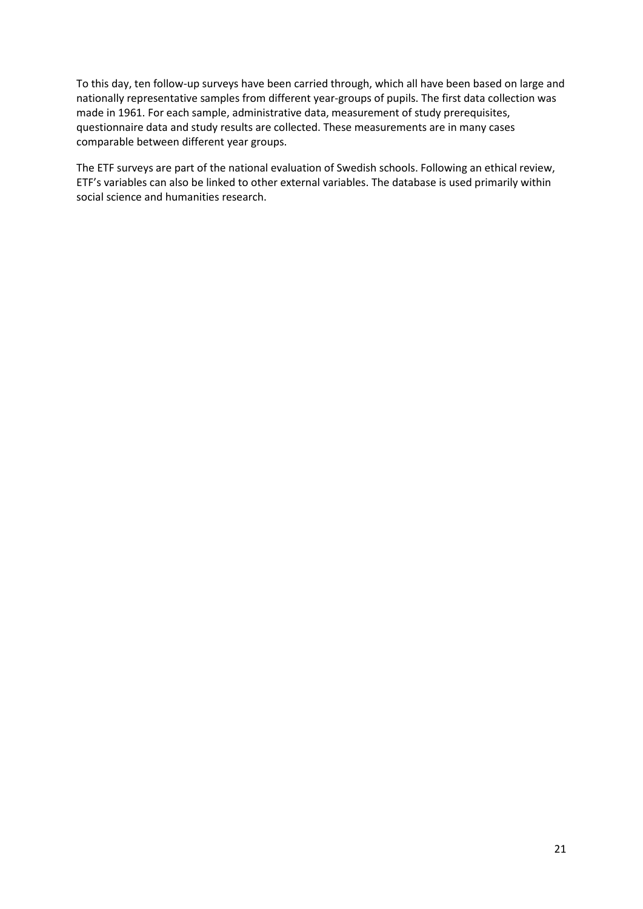To this day, ten follow-up surveys have been carried through, which all have been based on large and nationally representative samples from different year-groups of pupils. The first data collection was made in 1961. For each sample, administrative data, measurement of study prerequisites, questionnaire data and study results are collected. These measurements are in many cases comparable between different year groups.

The ETF surveys are part of the national evaluation of Swedish schools. Following an ethical review, ETF's variables can also be linked to other external variables. The database is used primarily within social science and humanities research.